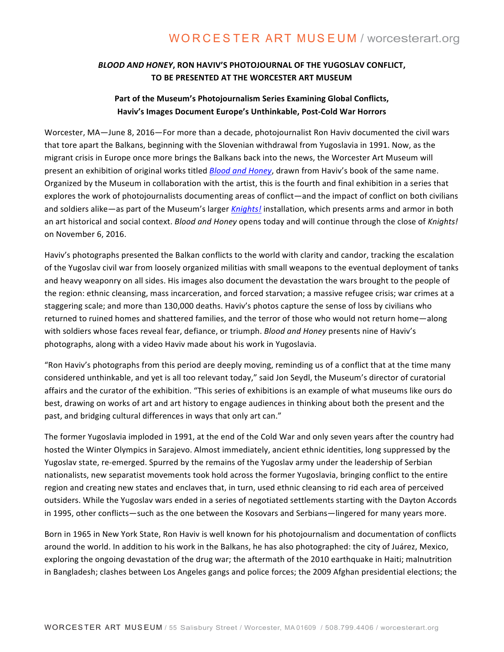## *BLOOD AND HONEY***, RON HAVIV'S PHOTOJOURNAL OF THE YUGOSLAV CONFLICT, TO BE PRESENTED AT THE WORCESTER ART MUSEUM**

### Part of the Museum's Photojournalism Series Examining Global Conflicts, Haviv's Images Document Europe's Unthinkable, Post-Cold War Horrors

Worcester, MA-June 8, 2016–For more than a decade, photojournalist Ron Haviv documented the civil wars that tore apart the Balkans, beginning with the Slovenian withdrawal from Yugoslavia in 1991. Now, as the migrant crisis in Europe once more brings the Balkans back into the news, the Worcester Art Museum will present an exhibition of original works titled *Blood and Honey*, drawn from Haviv's book of the same name. Organized by the Museum in collaboration with the artist, this is the fourth and final exhibition in a series that explores the work of photojournalists documenting areas of conflict—and the impact of conflict on both civilians and soldiers alike—as part of the Museum's larger *Knights!* installation, which presents arms and armor in both an art historical and social context. *Blood and Honey* opens today and will continue through the close of *Knights!* on November 6, 2016.

Haviv's photographs presented the Balkan conflicts to the world with clarity and candor, tracking the escalation of the Yugoslav civil war from loosely organized militias with small weapons to the eventual deployment of tanks and heavy weaponry on all sides. His images also document the devastation the wars brought to the people of the region: ethnic cleansing, mass incarceration, and forced starvation; a massive refugee crisis; war crimes at a staggering scale; and more than 130,000 deaths. Haviv's photos capture the sense of loss by civilians who returned to ruined homes and shattered families, and the terror of those who would not return home—along with soldiers whose faces reveal fear, defiance, or triumph. *Blood and Honey* presents nine of Haviv's photographs, along with a video Haviv made about his work in Yugoslavia.

"Ron Haviv's photographs from this period are deeply moving, reminding us of a conflict that at the time many considered unthinkable, and yet is all too relevant today," said Jon Seydl, the Museum's director of curatorial affairs and the curator of the exhibition. "This series of exhibitions is an example of what museums like ours do best, drawing on works of art and art history to engage audiences in thinking about both the present and the past, and bridging cultural differences in ways that only art can."

The former Yugoslavia imploded in 1991, at the end of the Cold War and only seven years after the country had hosted the Winter Olympics in Sarajevo. Almost immediately, ancient ethnic identities, long suppressed by the Yugoslav state, re-emerged. Spurred by the remains of the Yugoslav army under the leadership of Serbian nationalists, new separatist movements took hold across the former Yugoslavia, bringing conflict to the entire region and creating new states and enclaves that, in turn, used ethnic cleansing to rid each area of perceived outsiders. While the Yugoslav wars ended in a series of negotiated settlements starting with the Dayton Accords in 1995, other conflicts—such as the one between the Kosovars and Serbians—lingered for many years more.

Born in 1965 in New York State, Ron Haviv is well known for his photojournalism and documentation of conflicts around the world. In addition to his work in the Balkans, he has also photographed: the city of Juárez, Mexico, exploring the ongoing devastation of the drug war; the aftermath of the 2010 earthquake in Haiti; malnutrition in Bangladesh; clashes between Los Angeles gangs and police forces; the 2009 Afghan presidential elections; the